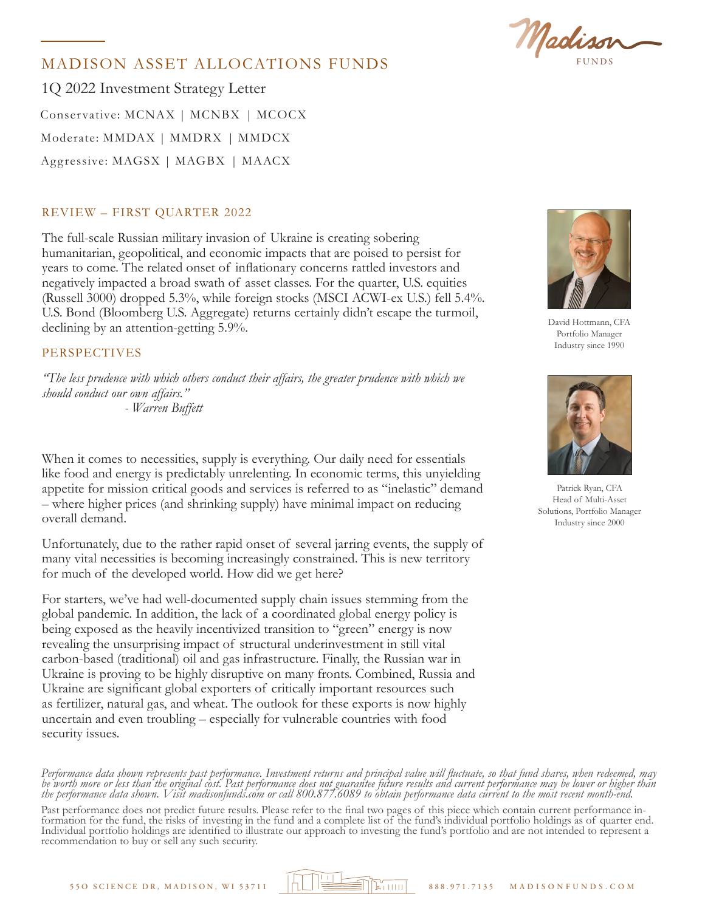Madison

# MADISON ASSET ALLOCATIONS FUNDS

1Q 2022 Investment Strategy Letter Conservative: MCNAX | MCNBX | MCOCX Aggressive: MAGSX | MAGBX | MAACX Moderate: MMDAX | MMDRX | MMDCX

# REVIEW – FIRST QUARTER 2022

The full-scale Russian military invasion of Ukraine is creating sobering humanitarian, geopolitical, and economic impacts that are poised to persist for years to come. The related onset of inflationary concerns rattled investors and negatively impacted a broad swath of asset classes. For the quarter, U.S. equities (Russell 3000) dropped 5.3%, while foreign stocks (MSCI ACWI-ex U.S.) fell 5.4%. U.S. Bond (Bloomberg U.S. Aggregate) returns certainly didn't escape the turmoil, declining by an attention-getting 5.9%.

## PERSPECTIVES

*"The less prudence with which others conduct their affairs, the greater prudence with which we should conduct our own affairs." - Warren Buffett*

When it comes to necessities, supply is everything. Our daily need for essentials like food and energy is predictably unrelenting. In economic terms, this unyielding appetite for mission critical goods and services is referred to as "inelastic" demand – where higher prices (and shrinking supply) have minimal impact on reducing overall demand.

Unfortunately, due to the rather rapid onset of several jarring events, the supply of many vital necessities is becoming increasingly constrained. This is new territory for much of the developed world. How did we get here?

For starters, we've had well-documented supply chain issues stemming from the global pandemic. In addition, the lack of a coordinated global energy policy is being exposed as the heavily incentivized transition to "green" energy is now revealing the unsurprising impact of structural underinvestment in still vital carbon-based (traditional) oil and gas infrastructure. Finally, the Russian war in Ukraine is proving to be highly disruptive on many fronts. Combined, Russia and Ukraine are significant global exporters of critically important resources such as fertilizer, natural gas, and wheat. The outlook for these exports is now highly uncertain and even troubling – especially for vulnerable countries with food security issues.



David Hottmann, CFA Portfolio Manager Industry since 1990



Patrick Ryan, CFA Head of Multi-Asset Solutions, Portfolio Manager Industry since 2000

*Performance data shown represents past performance. Investment returns and principal value will fluctuate, so that fund shares, when redeemed, may be worth more or less than the original cost. Past performance does not guarantee future results and current performance may be lower or higher than the performance data shown. Visit madisonfunds.com or call 800.877.6089 to obtain performance data current to the most recent month-end.* 

Past performance does not predict future results. Please refer to the final two pages of this piece which contain current performance information for the fund, the risks of investing in the fund and a complete list of the Individual portfolio holdings are identified to illustrate our approach to investing the fund's portfolio and are not intended to represent a recommendation to buy or sell any such security.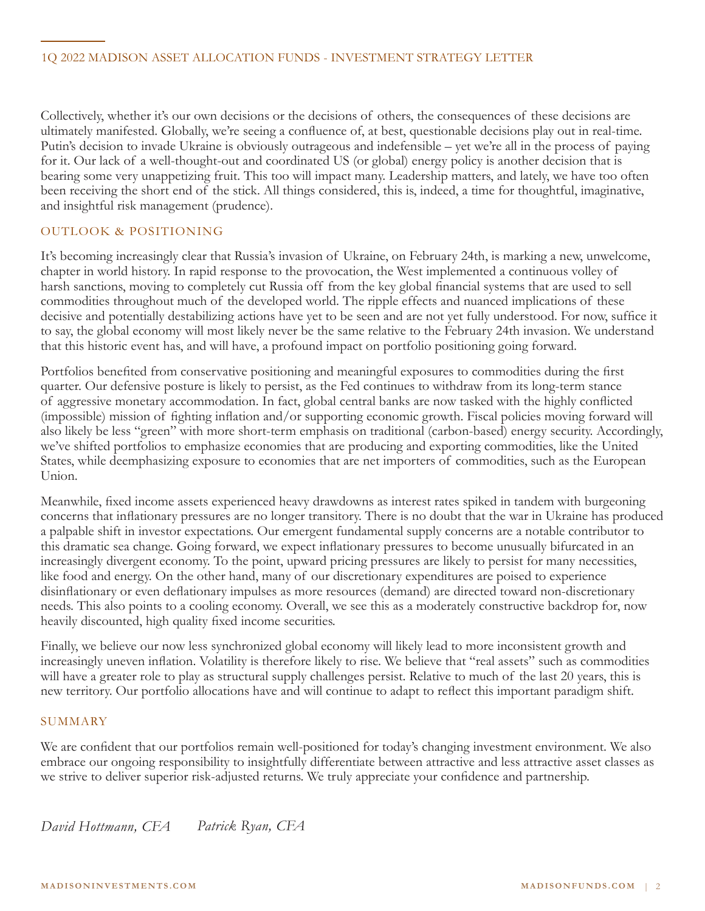Collectively, whether it's our own decisions or the decisions of others, the consequences of these decisions are ultimately manifested. Globally, we're seeing a confluence of, at best, questionable decisions play out in real-time. Putin's decision to invade Ukraine is obviously outrageous and indefensible – yet we're all in the process of paying for it. Our lack of a well-thought-out and coordinated US (or global) energy policy is another decision that is bearing some very unappetizing fruit. This too will impact many. Leadership matters, and lately, we have too often been receiving the short end of the stick. All things considered, this is, indeed, a time for thoughtful, imaginative, and insightful risk management (prudence).

# OUTLOOK & POSITIONING

It's becoming increasingly clear that Russia's invasion of Ukraine, on February 24th, is marking a new, unwelcome, chapter in world history. In rapid response to the provocation, the West implemented a continuous volley of harsh sanctions, moving to completely cut Russia off from the key global financial systems that are used to sell commodities throughout much of the developed world. The ripple effects and nuanced implications of these decisive and potentially destabilizing actions have yet to be seen and are not yet fully understood. For now, suffice it to say, the global economy will most likely never be the same relative to the February 24th invasion. We understand that this historic event has, and will have, a profound impact on portfolio positioning going forward.

Portfolios benefited from conservative positioning and meaningful exposures to commodities during the first quarter. Our defensive posture is likely to persist, as the Fed continues to withdraw from its long-term stance of aggressive monetary accommodation. In fact, global central banks are now tasked with the highly conflicted (impossible) mission of fighting inflation and/or supporting economic growth. Fiscal policies moving forward will also likely be less "green" with more short-term emphasis on traditional (carbon-based) energy security. Accordingly, we've shifted portfolios to emphasize economies that are producing and exporting commodities, like the United States, while deemphasizing exposure to economies that are net importers of commodities, such as the European Union.

Meanwhile, fixed income assets experienced heavy drawdowns as interest rates spiked in tandem with burgeoning concerns that inflationary pressures are no longer transitory. There is no doubt that the war in Ukraine has produced a palpable shift in investor expectations. Our emergent fundamental supply concerns are a notable contributor to this dramatic sea change. Going forward, we expect inflationary pressures to become unusually bifurcated in an increasingly divergent economy. To the point, upward pricing pressures are likely to persist for many necessities, like food and energy. On the other hand, many of our discretionary expenditures are poised to experience disinflationary or even deflationary impulses as more resources (demand) are directed toward non-discretionary needs. This also points to a cooling economy. Overall, we see this as a moderately constructive backdrop for, now heavily discounted, high quality fixed income securities.

Finally, we believe our now less synchronized global economy will likely lead to more inconsistent growth and increasingly uneven inflation. Volatility is therefore likely to rise. We believe that "real assets" such as commodities will have a greater role to play as structural supply challenges persist. Relative to much of the last 20 years, this is new territory. Our portfolio allocations have and will continue to adapt to reflect this important paradigm shift.

## SUMMARY

We are confident that our portfolios remain well-positioned for today's changing investment environment. We also embrace our ongoing responsibility to insightfully differentiate between attractive and less attractive asset classes as we strive to deliver superior risk-adjusted returns. We truly appreciate your confidence and partnership.

*David Hottmann, CFA Patrick Ryan, CFA*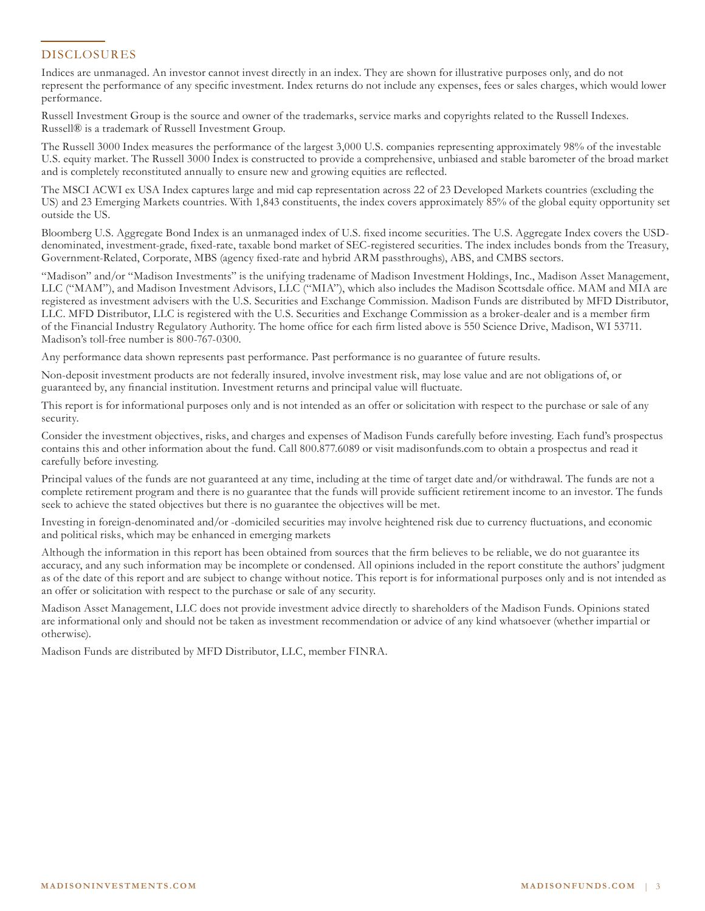#### DISCLOSURES DISCLOSURES

Indices are unmanaged. An investor cannot invest directly in an index. They are shown for illustrative purposes only, and do not represent the performance of any specific investment. Index returns do not include any expenses, fees or sales charges, which would lower performance.

Russell Investment Group is the source and owner of the trademarks, service marks and copyrights related to the Russell Indexes. Russell® is a trademark of Russell Investment Group.

The Russell 3000 Index measures the performance of the largest 3,000 U.S. companies representing approximately 98% of the investable U.S. equity market. The Russell 3000 Index is constructed to provide a comprehensive, unbiased and stable barometer of the broad market and is completely reconstituted annually to ensure new and growing equities are reflected.

The MSCI ACWI ex USA Index captures large and mid cap representation across 22 of 23 Developed Markets countries (excluding the US) and 23 Emerging Markets countries. With 1,843 constituents, the index covers approximately 85% of the global equity opportunity set outside the US.

Bloomberg U.S. Aggregate Bond Index is an unmanaged index of U.S. fixed income securities. The U.S. Aggregate Index covers the USDdenominated, investment-grade, fixed-rate, taxable bond market of SEC-registered securities. The index includes bonds from the Treasury, Government-Related, Corporate, MBS (agency fixed-rate and hybrid ARM passthroughs), ABS, and CMBS sectors.

"Madison" and/or "Madison Investments" is the unifying tradename of Madison Investment Holdings, Inc., Madison Asset Management, LLC ("MAM"), and Madison Investment Advisors, LLC ("MIA"), which also includes the Madison Scottsdale office. MAM and MIA are registered as investment advisers with the U.S. Securities and Exchange Commission. Madison Funds are distributed by MFD Distributor, LLC. MFD Distributor, LLC is registered with the U.S. Securities and Exchange Commission as a broker-dealer and is a member firm of the Financial Industry Regulatory Authority. The home office for each firm listed above is 550 Science Drive, Madison, WI 53711. Madison's toll-free number is 800-767-0300.

Any performance data shown represents past performance. Past performance is no guarantee of future results.

Non-deposit investment products are not federally insured, involve investment risk, may lose value and are not obligations of, or guaranteed by, any financial institution. Investment returns and principal value will fluctuate.

This report is for informational purposes only and is not intended as an offer or solicitation with respect to the purchase or sale of any security.

Consider the investment objectives, risks, and charges and expenses of Madison Funds carefully before investing. Each fund's prospectus contains this and other information about the fund. Call 800.877.6089 or visit madisonfunds.com to obtain a prospectus and read it carefully before investing.

Principal values of the funds are not guaranteed at any time, including at the time of target date and/or withdrawal. The funds are not a complete retirement program and there is no guarantee that the funds will provide sufficient retirement income to an investor. The funds seek to achieve the stated objectives but there is no guarantee the objectives will be met.

Investing in foreign-denominated and/or -domiciled securities may involve heightened risk due to currency fluctuations, and economic and political risks, which may be enhanced in emerging markets

Although the information in this report has been obtained from sources that the firm believes to be reliable, we do not guarantee its accuracy, and any such information may be incomplete or condensed. All opinions included in the report constitute the authors' judgment as of the date of this report and are subject to change without notice. This report is for informational purposes only and is not intended as an offer or solicitation with respect to the purchase or sale of any security.

Madison Asset Management, LLC does not provide investment advice directly to shareholders of the Madison Funds. Opinions stated are informational only and should not be taken as investment recommendation or advice of any kind whatsoever (whether impartial or otherwise).

Madison Funds are distributed by MFD Distributor, LLC, member FINRA.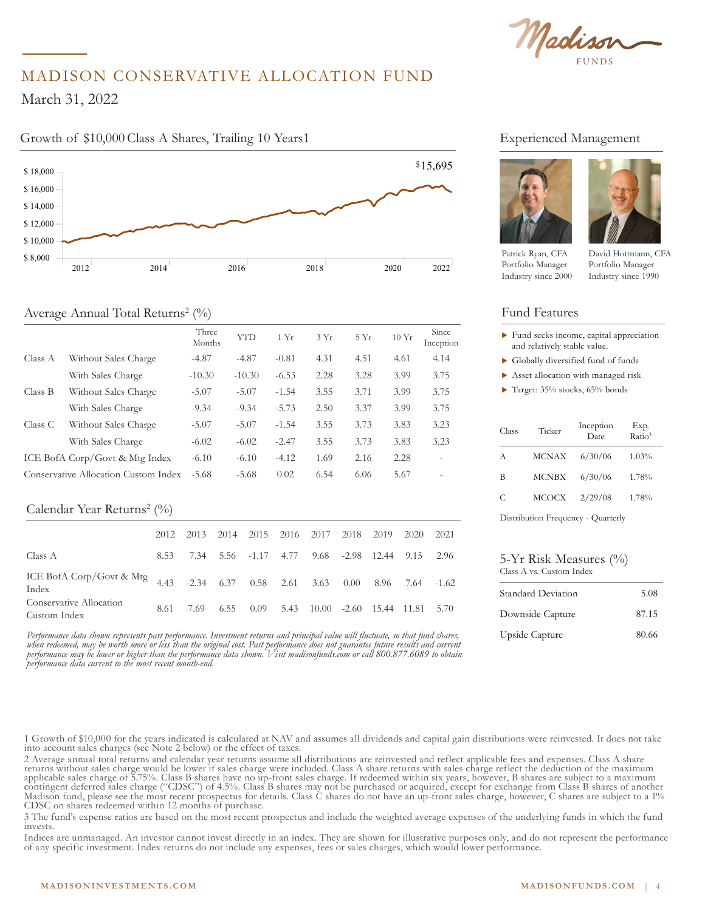$\frac{1}{2}$  asset allocation funds  $\frac{1}{2}$  asset allocation funds  $\frac{1}{2}$  asset allocation funds  $\frac{1}{2}$ Madison

# MADISON CONSERVATIVE ALLOCATION FUND

March 31, 2022

\$ 16,000

# Growth of \$10,000 Class A Shares, Trailing 10 Years1



# Average Annual Total Returns<sup>2</sup> (%)

|         |                                      | Three<br>Months | <b>YTD</b> | 1Yr     | 3Yr  | 5Yr  | 10Yr | Since<br>Inception       |
|---------|--------------------------------------|-----------------|------------|---------|------|------|------|--------------------------|
| Class A | Without Sales Charge                 | $-4.87$         | $-4.87$    | $-0.81$ | 4.31 | 4.51 | 4.61 | 4.14                     |
|         | With Sales Charge                    | $-10.30$        | $-10.30$   | $-6.53$ | 2.28 | 3.28 | 3.99 | 3.75                     |
| Class B | Without Sales Charge                 | $-5.07$         | $-5.07$    | $-1.54$ | 3.55 | 3.71 | 3.99 | 3.75                     |
|         | With Sales Charge                    | $-9.34$         | $-9.34$    | $-5.73$ | 2.50 | 3.37 | 3.99 | 3.75                     |
| Class C | Without Sales Charge                 | $-5.07$         | $-5.07$    | $-1.54$ | 3.55 | 3.73 | 3.83 | 3.23                     |
|         | With Sales Charge                    | $-6.02$         | $-6.02$    | $-2.47$ | 3.55 | 3.73 | 3.83 | 3.23                     |
|         | ICE BofA Corp/Govt & Mtg Index       | $-6.10$         | $-6.10$    | $-4.12$ | 1.69 | 2.16 | 2.28 | $\overline{\phantom{a}}$ |
|         | Conservative Allocation Custom Index | $-5.68$         | $-5.68$    | 0.02    | 6.54 | 6.06 | 5.67 |                          |
|         |                                      |                 |            |         |      |      |      |                          |

# Calendar Year Returns<sup>2</sup> (%)

|                                                                                   | 2012. | 2013 | 2014 |      |      | 2015 2016 2017 | 2018 | 2019                                       | 2020       | 2021 |
|-----------------------------------------------------------------------------------|-------|------|------|------|------|----------------|------|--------------------------------------------|------------|------|
| Class A                                                                           | 8.53  | 7.34 |      |      |      |                |      | 5.56 -1.17 4.77 9.68 -2.98 12.44 9.15 2.96 |            |      |
| ICE BofA Corp/Govt & Mtg   4.43   -2.34   6.37 $0.58$ 2.61 $3.63$ $0.00$<br>Index |       |      |      |      |      |                |      | 8.96                                       | 7.64 -1.62 |      |
| Conservative Allocation<br>Custom Index                                           | 8.61  | 7.69 | 6.55 | 0.09 | 5.43 |                |      | 10.00 -2.60 15.44 11.81                    |            | 5.70 |

.<br>Performance data shown represents past performance. Investment returns and principal value will fluctuate, so that fund shares, performance may be lower or higher than the performance data shown. Visit madisonfunds.com or call 800.877.6089 to obtain performance data current to the most recent month-end. when redeemed, may be worth more or less than the original cost. Past performance does not guarantee future results and current

# Experienced Management



Patrick Ryan, CFA Portfolio Manager Industry since 2000

David Hottmann, CFA Portfolio Manager Industry since 1990

## Fund Features

- Fund seeks income, capital appreciation and relatively stable value.
- Globally diversified fund of funds
- Asset allocation with managed risk
- Target: 35% stocks, 65% bonds

| Class | Ticker       | Inception<br>Date | Exp.<br>Ratio <sup>3</sup> |
|-------|--------------|-------------------|----------------------------|
| A     | <b>MCNAX</b> | 6/30/06           | 1.03%                      |
| в     | MCNBX        | 6/30/06           | 1.78%                      |
| C     | MCOCX        | 2/29/08           | 1.78%                      |
|       |              |                   |                            |

Distribution Frequency - Quarterly

#### 5-Yr Risk Measures (%) Class A vs. Custom Index

| Standard Deviation | 5.08  |
|--------------------|-------|
| Downside Capture   | 87.15 |
| Upside Capture     | 80.66 |

1 Growth of \$10,000 for the years indicated is calculated at NAV and assumes all dividends and capital gain distributions were reinvested. It does not take into account sales charges (see Note 2 below) or the effect of taxes.

 $\frac{1}{20}$  can be charge would be lower if sales charge were included. Class A share returns with so  $2.5$ ladison fund, please see the most recent prospectus for details. Class C shares do not have an up-front<br>DSC 2 Average annual total returns and calendar year returns assume all distributions are reinvested and reflect applicable fees and expenses. Class A share returns without sales charge would be lower if sales charge were included. Class A share returns with sales charge reflect the deduction of the maximum applicable sales charge of 5.75%. Class B shares have no up-front sales charge. If redeemed within six years, however, B shares are subject to a maximum contingent deferred sales charge ("CDSC") of 4.5%. Class B shares may not be purchased or acquired, except for exchange from Class B shares of another Madison fund, please see the most recent prospectus for details. Class C shares do not have an up-front sales charge, however, C shares are subject to a 1% CDSC on shares redeemed within 12 months of purchase.

3 The fund's expense ratios are based on the most recent prospectus and include the weighted average expenses of the underlying funds in which the fund invests.

Indices are unmanaged. An investor cannot invest directly in an index. They are shown for illustrative purposes only, and do not represent the performance of any specific investment. Index returns do not include any expenses, fees or sales charges, which would lower performance.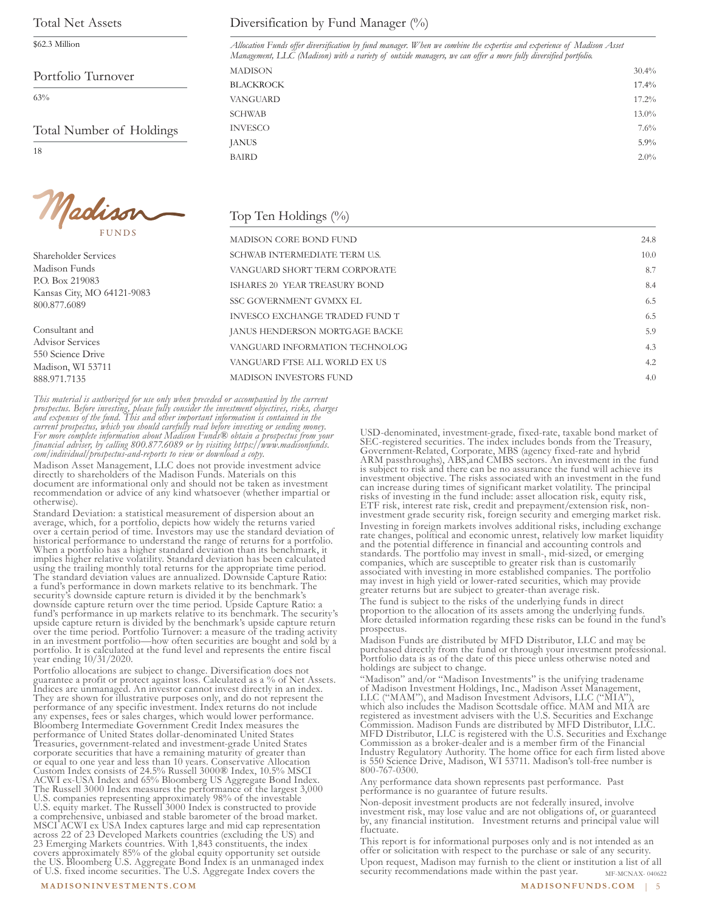#### Total Net Assets

\$62.3 Million

#### Portfolio Turnover

63%

# Total Number of Holdings

18

Madison

Shareholder Services Madison Funds P.O. Box 219083 Kansas City, MO 64121-9083 800.877.6089

Consultant and Advisor Services 550 Science Drive Madison, WI 53711 888.971.7135

# Diversification by Fund Manager (%)

| 2.3 Million             | Allocation Funds offer diversification by fund manager. When we combine the expertise and experience of Madison Asset<br>Management, LLC (Madison) with a variety of outside managers, we can offer a more fully diversified portfolio. |          |
|-------------------------|-----------------------------------------------------------------------------------------------------------------------------------------------------------------------------------------------------------------------------------------|----------|
| ortfolio Turnover       | <b>MADISON</b>                                                                                                                                                                                                                          | $30.4\%$ |
|                         | <b>BLACKROCK</b>                                                                                                                                                                                                                        | $17.4\%$ |
| $\frac{0}{0}$           | VANGUARD                                                                                                                                                                                                                                | $17.2\%$ |
|                         | <b>SCHWAB</b>                                                                                                                                                                                                                           | $13.0\%$ |
| otal Number of Holdings | <b>INVESCO</b>                                                                                                                                                                                                                          | 7.6%     |
|                         | <b>JANUS</b>                                                                                                                                                                                                                            | 5.9%     |
|                         | <b>BAIRD</b>                                                                                                                                                                                                                            | $2.0\%$  |
|                         |                                                                                                                                                                                                                                         |          |

# Top Ten Holdings (%)

| MADISON CORE BOND FUND         | 24.8 |
|--------------------------------|------|
| SCHWAB INTERMEDIATE TERM U.S.  | 10.0 |
| VANGUARD SHORT TERM CORPORATE  | 8.7  |
| ISHARES 20 YEAR TREASURY BOND  | 8.4  |
| SSC GOVERNMENT GVMXX EL        | 6.5  |
| INVESCO EXCHANGE TRADED FUND T | 6.5  |
| JANUS HENDERSON MORTGAGE BACKE | 5.9  |
| VANGUARD INFORMATION TECHNOLOG | 4.3  |
| VANGUARD FTSE ALL WORLD EX US  | 4.2  |
| <b>MADISON INVESTORS FUND</b>  | 4.0  |

*This material is authorized for use only when preceded or accompanied by the current* prospectus. Before investing, please fully consider the investment objectives, risks, charges<br>and expenses of the fund. This and other important information is contained in the<br>current prospectus, which you should carefull *com/individual/prospectus-and-reports to view or download a copy.*

Madison Asset Management, LLC does not provide investment advice directly to shareholders of the Madison Funds. Materials on this document are informational only and should not be taken as investment recommendation or advice of any kind whatsoever (whether impartial or otherwise).

Standard Deviation: a statistical measurement of dispersion about an average, which, for a portfolio, depicts how widely the returns varied<br>over a certain period of time. Investors may use the standard deviation of<br>historical performance to understand the range of returns for a portfolio.<br>W The standard deviation values are annualized. Downside Capture Ratio: a fund's performance in down markets relative to its benchmark. The security's downside capture return is divided it by the benchmark's downside capture return over the time period. Upside Capture Ratio: a<br>fund's performance in up markets relative to its benchmark. The security's<br>upside capture return is divided by the benchmark's upside capture return<br>ove year ending 10/31/2020.

Portfolio allocations are subject to change. Diversification does not guarantee a profit or protect against loss. Calculated as a % of Net Assets. Indices are unmanaged. An investor cannot invest directly in an index. They are shown for illustrative purposes only, and do not represent the performance of any specific investment. Index returns do not include any expenses, fees or sales charges, which would lower performance. Bloomberg Intermediate Government Credit Index measures the performance of United States dollar-denominated United States Treasuries, government-related and investment-grade United States corporate securities that have a remaining maturity of greater than or equal to one year and less than 10 years. Conservative Allocation Custom Index consists of 24.5% Russell 3000® Index, 10.5% MSCI ACWI ex-USA Index and 65% Bloomberg US Aggregate Bond Index. The Russell 3000 Index measures the performance of the largest 3,000 U.S. companies representing approximately 98% of the investable U.S. equity market. The Russell 3000 Index is constructed to provide a comprehensive, unb MSCI ACWI ex USA Index captures large and mid cap representation across 22 of 23 Developed Markets countries (excluding the US) and 23 Emerging Markets countries. With 1,843 constituents, the index<br>covers approximately 85% of the global equity opportunity set outside<br>the US. Bloomberg U.S. Aggregate Bond Index is an unmanaged index<br>of U.S. fixed income

USD-denominated, investment-grade, fixed-rate, taxable bond market of SEC-registered securities. The index includes bonds from the Treasury,<br>Government-Related, Corporate, MBS (agency fixed-rate and hybrid<br>ARM passthroughs), ABS,and CMBS sectors. An investment in the fund<br>is subject to risk investment objective. The risks associated with an investment in the fund can increase during times of significant market volatility. The principal risks of investing in the fund include: asset allocation risk, equity risk, ETF risk, interest rate risk, credit and prepayment/extension risk, noninvestment grade security risk, foreign security and emerging market risk. Investing in foreign markets involves additional risks, including exchange rate changes, political and economic unrest, relatively low market liquidity and the potential difference in financial and accounting controls and standards. The portfolio may invest in small-, mid-sized, or emerging<br>companies, which are susceptible to greater risk than is customarily<br>associated with investing in more established companies. The portfolio<br>may invest i greater returns but are subject to greater-than average risk.

The fund is subject to the risks of the underlying funds in direct proportion to the allocation of its assets among the underlying funds. More detailed information regarding these risks can be found in the fund's prospectus.

Madison Funds are distributed by MFD Distributor, LLC and may be purchased directly from the fund or through your investment professional. Portfolio data is as of the date of this piece unless otherwise noted and holdings are subject to change.

"Madison" and/or "Madison Investments" is the unifying tradename of Madison Investment Holdings, Inc., Madison Asset Management,<br>LLC ("MAM"), and Madison Investment Advisors, LLC ("MIA"),<br>which also includes the Madison Scottsdale office. MAM and MIA are<br>registered as investment adviser Commission. Madison Funds are distributed by MFD Distributor, LLC. MFD Distributor, LLC is registered with the U.S. Securities and Exchange Commission as a broker-dealer and is a member firm of the Financial Industry Regulatory Authority. The home office for each firm listed above is 550 Science Drive, Madison, WI 53711. Madison's toll-free number is 800-767-0300.

Any performance data shown represents past performance. Past performance is no guarantee of future results.

Non-deposit investment products are not federally insured, involve investment risk, may lose value and are not obligations of, or guaranteed by, any financial institution. Investment returns and principal value will fluctuate.

This report is for informational purposes only and is not intended as an offer or solicitation with respect to the purchase or sale of any security. Upon request, Madison may furnish to the client or institution a list of all security recommendations made within the past year. MF-MCNAX-040622

#### **MADISONINVESTMENTS.COM MADISONFUNDS.COM**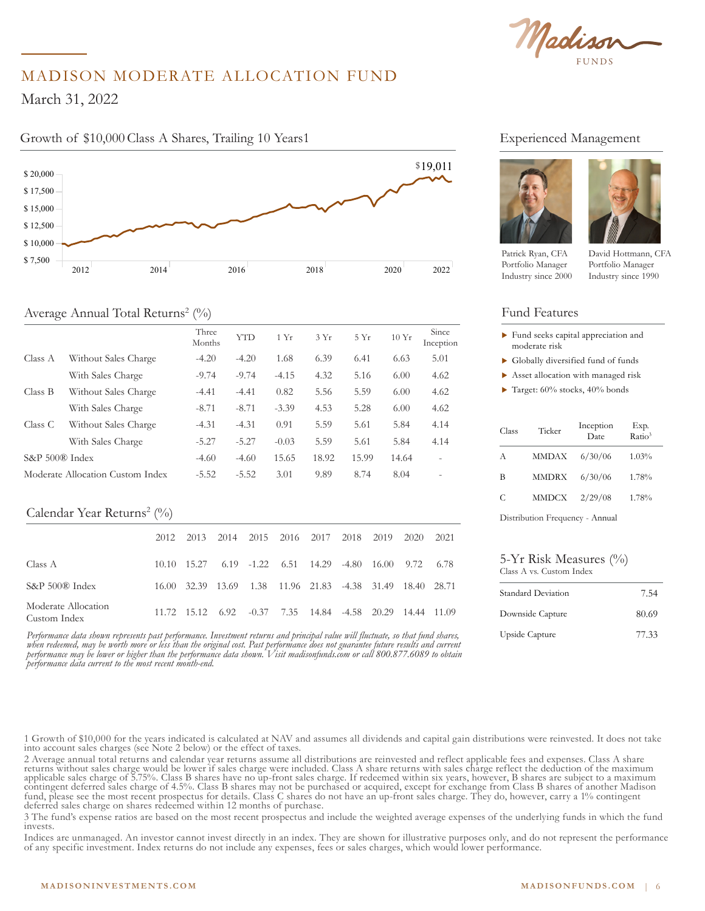10 2022 MADISON ASSETT ALLOCATION FUNDS ASSETT ALLOCATION FUNDS ASSETT ALLOCATION FUNDS AND LOCATION FUNDS AND Madison

# MADISON MODERATE ALLOCATION FUND

 $2022$  $\overline{\mathrm{M}}$ March 31, 2022

\$ 17,500

# Growth of \$10,000 Class A Shares, Trailing 10 Years1



# Average Annual Total Returns<sup>2</sup> (%)

| $\cdot$                          |                      |                 |            |         |       |       |       |                          |
|----------------------------------|----------------------|-----------------|------------|---------|-------|-------|-------|--------------------------|
|                                  |                      | Three<br>Months | <b>YTD</b> | 1Yr     | 3Yr   | 5Yr   | 10Yr  | Since<br>Inception       |
| Class A                          | Without Sales Charge | $-4.20$         | $-4.20$    | 1.68    | 6.39  | 6.41  | 6.63  | 5.01                     |
|                                  | With Sales Charge    | $-9.74$         | $-9.74$    | $-4.15$ | 4.32  | 5.16  | 6.00  | 4.62                     |
| Class B                          | Without Sales Charge | $-4.41$         | $-4.41$    | 0.82    | 5.56  | 5.59  | 6.00  | 4.62                     |
|                                  | With Sales Charge    | $-8.71$         | $-8.71$    | $-3.39$ | 4.53  | 5.28  | 6.00  | 4.62                     |
| Class C                          | Without Sales Charge | $-4.31$         | $-4.31$    | 0.91    | 5.59  | 5.61  | 5.84  | 4.14                     |
|                                  | With Sales Charge    | $-5.27$         | $-5.27$    | $-0.03$ | 5.59  | 5.61  | 5.84  | 4.14                     |
| S&P 500® Index                   |                      | $-4.60$         | $-4.60$    | 15.65   | 18.92 | 15.99 | 14.64 | $\overline{\phantom{0}}$ |
| Moderate Allocation Custom Index |                      | $-5.52$         | $-5.52$    | 3.01    | 9.89  | 8.74  | 8.04  |                          |
|                                  |                      |                 |            |         |       |       |       |                          |

#### $\alpha$ <sub>1</sub> Calendar Year Returns<sup>2</sup> (%)

|                                     | 2012. | 2013        | 2014 |  | 2015 2016 2017                                                     | 2018 | 2019 | 2020            | 2021 |
|-------------------------------------|-------|-------------|------|--|--------------------------------------------------------------------|------|------|-----------------|------|
| Class A                             |       | 10.10 15.27 |      |  | $6.19$ $-1.22$ $6.51$ $14.29$ $-4.80$                              |      |      | 16.00 9.72 6.78 |      |
| S&P 500® Index                      |       | 16.00 32.39 |      |  | 13.69 1.38 11.96 21.83 -4.38 31.49 18.40 28.71                     |      |      |                 |      |
| Moderate Allocation<br>Custom Index |       |             |      |  | 11.72  15.12  6.92  -0.37  7.35  14.84  -4.58  20.29  14.44  11.09 |      |      |                 |      |

Performance data shown represents past performance. Investment returns and principal value will fluctuate, so that fund shares, performance may be lower or higher than the performance data shown. Visit madisonfunds.com or call 800.877.6089 to obtain when redeemed, may be worth more or less than the original cost. Past performance does not guarantee future results and current *performance data current to the most recent month-end.*

# Experienced Management



Patrick Ryan, CFA Portfolio Manager Industry since 2000

David Hottmann, CFA Portfolio Manager Industry since 1990

## Fund Features

- Fund seeks capital appreciation and moderate risk
- Globally diversified fund of funds
- Asset allocation with managed risk
- Target: 60% stocks, 40% bonds

| Class | Ticker       | Inception<br>Date | Exp.<br>Ratio <sup>3</sup> |
|-------|--------------|-------------------|----------------------------|
| A     | <b>MMDAX</b> | 6/30/06           | 1.03%                      |
| В     | <b>MMDRX</b> | 6/30/06           | 1.78%                      |
| C     | <b>MMDCX</b> | 2/29/08           | 1.78%                      |
|       |              |                   |                            |

Distribution Frequency - Annual

#### 5-Yr Risk Measures (%) Class A vs. Custom Index

| Standard Deviation | 7.54  |
|--------------------|-------|
| Downside Capture   | 80.69 |
| Upside Capture     | 77.33 |

1 Growth of \$10,000 for the years indicated is calculated at NAV and assumes all dividends and capital gain distributions were reinvested. It does not take into account sales charges (see Note 2 below) or the effect of taxes.

2 Average annual total returns and calendar year returns assume all distributions are reinvested and reflect applicable fees and expenses. Class A share returns without sales charge would be lower if sales charge were included. Class A share returns with sales charge reflect the deduction of the maximum applicable sales charge of 5.75%. Class B shares have no up-front sales charge. If redeemed within six years, however, B shares are subject to a maximum contingent deferred sales charge of 4.5%. Class B shares may not be purchased or acquired, except for exchange from Class B shares of another Madison fund, please see the most recent prospectus for details. Class C shares do not have an up-front sales charge. They do, however, carry a 1% contingent deferred sales charge on shares redeemed within 12 months of purchase.

3 The fund's expense ratios are based on the most recent prospectus and include the weighted average expenses of the underlying funds in which the fund invests.

Indices are unmanaged. An investor cannot invest directly in an index. They are shown for illustrative purposes only, and do not represent the performance of any specific investment. Index returns do not include any expenses, fees or sales charges, which would lower performance.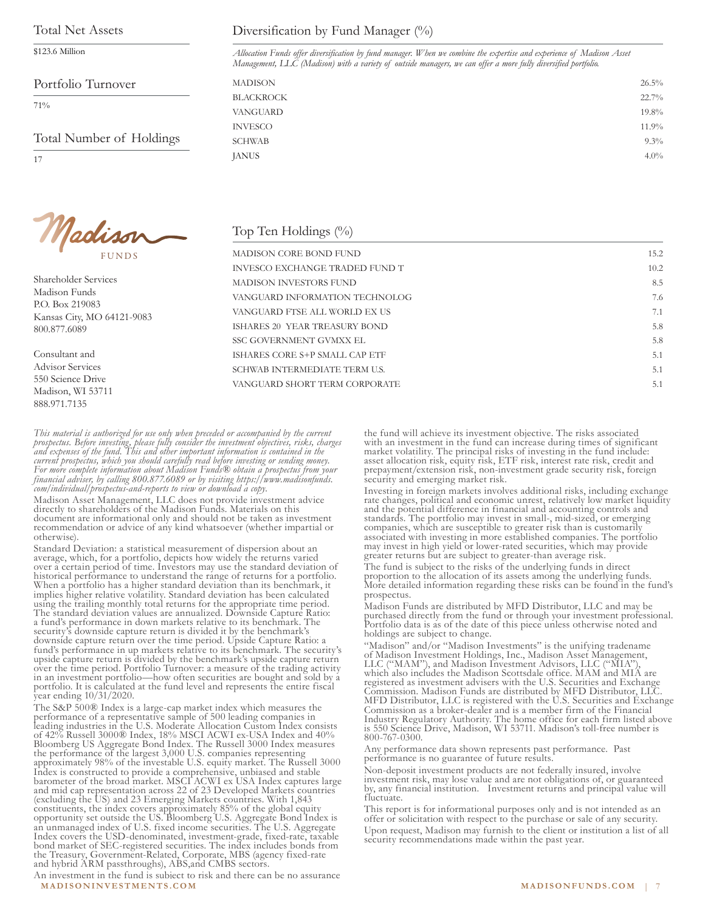### Total Net Assets

#### \$123.6 Million

### Portfolio Turnover

71%

# Total Number of Holdings

17

Madison

Shareholder Services Madison Funds P.O. Box 219083 Kansas City, MO 64121-9083 800.877.6089

Consultant and Advisor Services 550 Science Drive Madison, WI 53711 888.971.7135

# Diversification by Fund Manager (%)

Auocation Funas offer airersification by funa manager. When we compine the experitse and experience of Madis -<br>Management, LLC (Madison) with a variety of outside managers, we can offer a more fully diversified portfolio. *Allocation Funds offer diversification by fund manager. When we combine the expertise and experience of Madison Asset* 

| <b>MADISON</b> | $26.5\%$ |
|----------------|----------|
| BLACKROCK      | 22.7%    |
| VANGUARD       | 19.8%    |
| <b>INVESCO</b> | $11.9\%$ |
| SCHWAB         | $9.3\%$  |
| <b>JANUS</b>   | $4.0\%$  |
|                |          |

## Top Ten Holdings (%)

| MADISON CORE BOND FUND         | 15.2 |
|--------------------------------|------|
| INVESCO EXCHANGE TRADED FUND T | 10.2 |
| MADISON INVESTORS FUND         | 8.5  |
| VANGUARD INFORMATION TECHNOLOG | 7.6  |
| VANGUARD FTSE ALL WORLD EX US  | 7.1  |
| ISHARES 20 YEAR TREASURY BOND  | 5.8  |
| SSC GOVERNMENT GVMXX EL        | 5.8  |
| ISHARES CORE S+P SMALL CAP ETF | 5.1  |
| SCHWAB INTERMEDIATE TERM U.S.  | 5.1  |
| VANGUARD SHORT TERM CORPORATE  | 5.1  |
|                                |      |

*This material is authorized for use only when preceded or accompanied by the current prospectus. Before investing, please fully consider the investment objectives, risks, charges and expenses of the fund. This and other important information is contained in the current prospectus, which you should carefully read before investing or sending money. For more complete information about Madison Funds® obtain a prospectus from your financial adviser, by calling 800.877.6089 or by visiting https://www.madisonfunds. com/individual/prospectus-and-reports to view or download a copy.*

Madison Asset Management, LLC does not provide investment advice directly to shareholders of the Madison Funds. Materials on this document are informational only and should not be taken as investment recommendation or advice of any kind whatsoever (whether impartial or otherwise).

Standard Deviation: a statistical measurement of dispersion about an average, which, for a portfolio, depicts how widely the returns varied over a certain period of time. Investors may use the standard deviation of historical performance to understand the range of returns for a portfolio. When a portfolio has a higher standard deviation than its benchmark, it implies higher relative volatility. Standard deviation has been calculated using the trailing monthly total returns for the appropriate time period. The standard deviation values are annualized. Downside Capture Ratio: a fund's performance in down markets relative to its benchmark. The security's downside capture return is divided it by the benchmark's security's downside capture return is divided it by the benchmark's downside capture return over the time period. Upside Capture Ratio: a fund's performance in up markets relative to its benchmark. The security's upside capture return is divided by the benchmark's upside capture return over the time period. Portfolio Turnover: a measure of the trading activity in an investment portfolio—how often securities are bought and sold by a portfolio. It is calculated at the fund level and represents the entire fiscal year ending 10/31/2020.

The S&P 500® Index is a large-cap market index which measures the performance of a representative sample of 500 leading companies in leading industries in the U.S. Moderate Allocation Custom Index consists of 42% Russell 3000® Index, 18% MSCI ACWI ex-USA Index and 40% Bloomberg US Aggregate Bond Index. The Russell 3000 Index measures the performance of the largest 3,000 U.S. companies representing approximately 98% of the investable U.S. equity market. The Russell 3000 Index is constructed to provide a comprehensive, unbiased and stable barometer of the broad market. MSCI ACWI ex USA Index captures large and mid cap representation across 22 of 23 Developed Markets countries (excluding the US) and 23 Emerging Markets countries. With 1,843 constituents, the index covers approximately 85% of the global equity opportunity set outside the US. Bloomberg U.S. Aggregate Bond Index is an unmanaged index of U.S. fixed income securities. The U.S. Aggregate Index covers the USD-denominated, investment-grade, fixed-rate, taxable bond market of SEC-registered securities. The index includes bonds from the Treasury, Government-Related, Corporate, MBS (agency fixed-rate and hybrid ARM passthroughs), ABS,and CMBS sectors.

 $MADISONINVESTMENTS. COM$ An investment in the fund is subject to risk and there can be no assurance the fund will achieve its investment objective. The risks associated with an investment in the fund can increase during times of significant market volatility. The principal risks of investing in the fund include: asset allocation risk, equity risk, ETF risk, interest rate risk, credit and prepayment/extension risk, non-investment grade security risk, foreign security and emerging market risk.

Investing in foreign markets involves additional risks, including exchange rate changes, political and economic unrest, relatively low market liquidity and the potential difference in financial and accounting controls and standards. The portfolio may invest in small-, mid-sized, or emerging companies, which are susceptible to greater risk than is customarily associated with investing in more established companies. The portfolio may invest in high yield or lower-rated securities, which may provide greater returns but are subject to greater-than average risk.

The fund is subject to the risks of the underlying funds in direct proportion to the allocation of its assets among the underlying funds. More detailed information regarding these risks can be found in the fund's prospectus.

Madison Funds are distributed by MFD Distributor, LLC and may be purchased directly from the fund or through your investment professional. Portfolio data is as of the date of this piece unless otherwise noted and holdings are subject to change.

"Madison" and/or "Madison Investments" is the unifying tradename of Madison Investment Holdings, Inc., Madison Asset Management, LLC ("MAM"), and Madison Investment Advisors, LLC ("MIA"), which also includes the Madison Scottsdale office. MAM and MIA are registered as investment advisers with the U.S. Securities and Exchange Commission. Madison Funds are distributed by MFD Distributor, LLC. MFD Distributor, LLC is registered with the U.S. Securities and Exchange Commission as a broker-dealer and is a member firm of the Financial Industry Regulatory Authority. The home office for each firm listed above is 550 Science Drive, Madison, WI 53711. Madison's toll-free number is 800-767-0300.

Any performance data shown represents past performance. Past performance is no guarantee of future results.

Non-deposit investment products are not federally insured, involve investment risk, may lose value and are not obligations of, or guaranteed by, any financial institution. Investment returns and principal value will fluctuate.

This report is for informational purposes only and is not intended as an offer or solicitation with respect to the purchase or sale of any security. Upon request, Madison may furnish to the client or institution a list of all security recommendations made within the past year.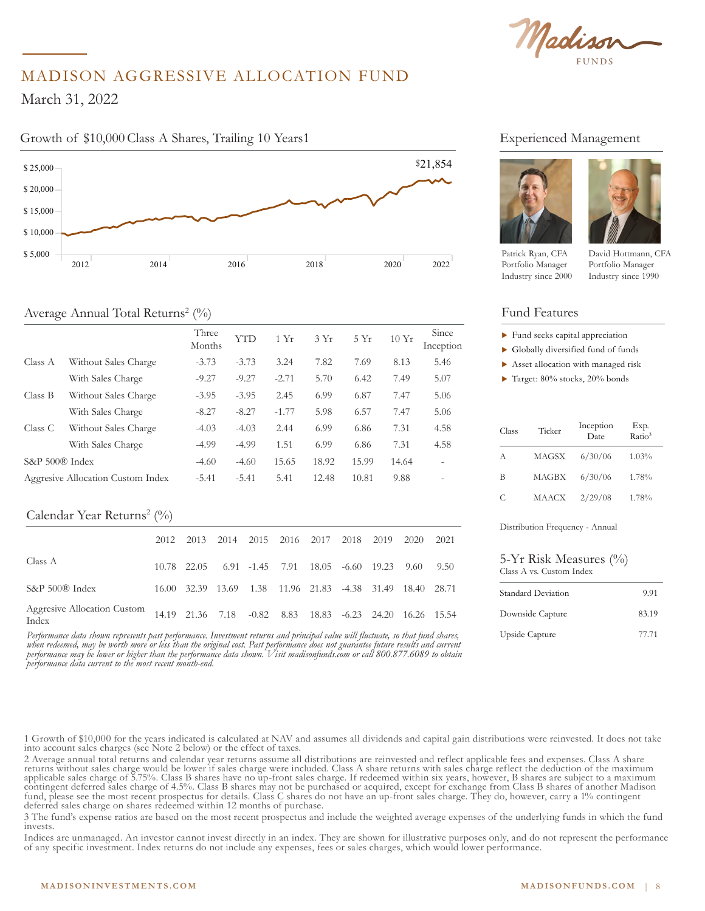$\frac{1}{2}$  asset allocation funds  $\frac{1}{2}$  asset allocation funds  $\frac{1}{2}$  asset allocation funds  $\frac{1}{2}$ Madison

# MADISON AGGRESSIVE ALLOCATION FUND

March 31, 2022

\$ 12,500

\$ 20,000

# Growth of \$10,000 Class A Shares, Trailing 10 Years1



# Average Annual Total Returns<sup>2</sup> (%)

|                                   |                      | Three<br>Months | <b>YTD</b> | 1 Yr    | 3Yr   | 5Yr   | 10Yr  | Since<br>Inception |
|-----------------------------------|----------------------|-----------------|------------|---------|-------|-------|-------|--------------------|
| Class A                           | Without Sales Charge | $-3.73$         | $-3.73$    | 3.24    | 7.82  | 7.69  | 8.13  | 5.46               |
|                                   | With Sales Charge    | $-9.27$         | $-9.27$    | $-2.71$ | 5.70  | 6.42  | 7.49  | 5.07               |
| Class B                           | Without Sales Charge | $-3.95$         | $-3.95$    | 2.45    | 6.99  | 6.87  | 7.47  | 5.06               |
|                                   | With Sales Charge    | $-8.27$         | $-8.27$    | $-1.77$ | 5.98  | 6.57  | 7.47  | 5.06               |
| Class C                           | Without Sales Charge | $-4.03$         | $-4.03$    | 2.44    | 6.99  | 6.86  | 7.31  | 4.58               |
|                                   | With Sales Charge    | $-4.99$         | $-4.99$    | 1.51    | 6.99  | 6.86  | 7.31  | 4.58               |
| S&P 500® Index                    |                      | $-4.60$         | $-4.60$    | 15.65   | 18.92 | 15.99 | 14.64 |                    |
| Aggresive Allocation Custom Index |                      | $-5.41$         | $-5.41$    | 5.41    | 12.48 | 10.81 | 9.88  |                    |

# Calendar Year Returns<sup>2</sup> (%)

|                                                                                                |  |  |  |  | 2012 2013 2014 2015 2016 2017 2018 2019 2020 2021          |  |
|------------------------------------------------------------------------------------------------|--|--|--|--|------------------------------------------------------------|--|
| Class A                                                                                        |  |  |  |  | 10.78 22.05 6.91 -1.45 7.91 18.05 -6.60 19.23 9.60 9.50    |  |
| S&P 500® Index                                                                                 |  |  |  |  | 16.00 32.39 13.69 1.38 11.96 21.83 -4.38 31.49 18.40 28.71 |  |
| Aggresive Allocation Custom 14.19 21.36 7.18 -0.82 8.83 18.83 -6.23 24.20 16.26 15.54<br>Index |  |  |  |  |                                                            |  |

*Performance data shown represents past performance. Investment returns and principal value will fluctuate, so that fund shares,*  when redeemed, may be worth more or less than the original cost. Past performance does not guarantee future results and current *performance may be lower or higher than the performance data shown. Visit madisonfunds.com or call 800.877.6089 to obtain performance data current to the most recent month-end.*

# Experienced Management



Patrick Ryan, CFA Portfolio Manager Industry since 2000



Industry since 1990

# Fund Features

- Fund seeks capital appreciation
- Globally diversified fund of funds
- Asset allocation with managed risk
- Target: 80% stocks, 20% bonds

| Class | Ticker       | Inception<br>Date | Exp.<br>Ratio <sup>3</sup> |
|-------|--------------|-------------------|----------------------------|
| A     | MAGSX        | 6/30/06           | 1.03%                      |
| В     | <b>MAGBX</b> | 6/30/06           | 1.78%                      |
| C     | MAACX        | 2/29/08           | 1.78%                      |

Distribution Frequency - Annual

### 5-Yr Risk Measures (%) Class A vs. Custom Index

| Standard Deviation | 9.91  |
|--------------------|-------|
| Downside Capture   | 83.19 |
| Upside Capture     | 77.71 |

1 Growth of \$10,000 for the years indicated is calculated at NAV and assumes all dividends and capital gain distributions were reinvested. It does not take into account sales charges (see Note 2 below) or the effect of taxes.

2 Average annual total returns and calendar year returns assume all distributions are reinvested and reflect applicable fees and expenses. Class A share returns without sales charge would be lower if sales charge were included. Class A share returns with sales charge reflect the deduction of the maximum applicable sales charge of 5.75%. Class B shares have no up-front sales charge. If redeemed within six years, however, B shares are subject to a maximum contingent deferred sales charge of 4.5%. Class B shares may not be purchased or acquired, except for exchange from Class B shares of another Madison fund, please see the most recent prospectus for details. Class C shares do not have an up-front sales charge. They do, however, carry a 1% contingent deferred sales charge on shares redeemed within 12 months of purchase.

3 The fund's expense ratios are based on the most recent prospectus and include the weighted average expenses of the underlying funds in which the fund invests.

Indices are unmanaged. An investor cannot invest directly in an index. They are shown for illustrative purposes only, and do not represent the performance of any specific investment. Index returns do not include any expenses, fees or sales charges, which would lower performance.